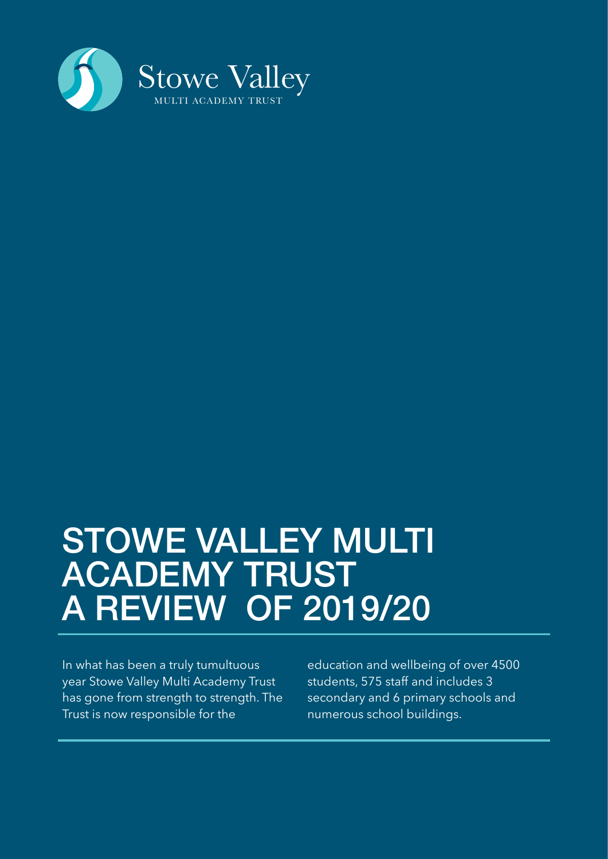

## STOWE VALLEY MULTI ACADEMY TRUST A REVIEW OF 2019/20

In what has been a truly tumultuous year Stowe Valley Multi Academy Trust has gone from strength to strength. The Trust is now responsible for the

education and wellbeing of over 4500 students, 575 staff and includes 3 secondary and 6 primary schools and numerous school buildings.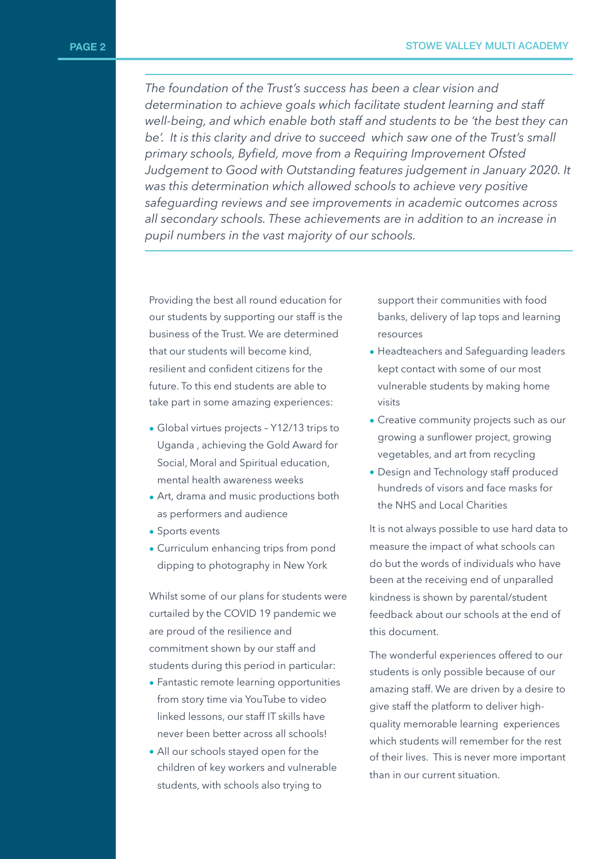*The foundation of the Trust's success has been a clear vision and determination to achieve goals which facilitate student learning and staff well-being, and which enable both staff and students to be 'the best they can*  be'. It is this clarity and drive to succeed which saw one of the Trust's small *primary schools, Byfield, move from a Requiring Improvement Ofsted Judgement to Good with Outstanding features judgement in January 2020. It was this determination which allowed schools to achieve very positive safeguarding reviews and see improvements in academic outcomes across all secondary schools. These achievements are in addition to an increase in pupil numbers in the vast majority of our schools.*

Providing the best all round education for our students by supporting our staff is the business of the Trust. We are determined that our students will become kind, resilient and confident citizens for the future. To this end students are able to take part in some amazing experiences:

- Global virtues projects Y12/13 trips to Uganda , achieving the Gold Award for Social, Moral and Spiritual education, mental health awareness weeks
- Art, drama and music productions both as performers and audience
- Sports events
- Curriculum enhancing trips from pond dipping to photography in New York

Whilst some of our plans for students were curtailed by the COVID 19 pandemic we are proud of the resilience and commitment shown by our staff and students during this period in particular:

- Fantastic remote learning opportunities from story time via YouTube to video linked lessons, our staff IT skills have never been better across all schools!
- All our schools stayed open for the children of key workers and vulnerable students, with schools also trying to

support their communities with food banks, delivery of lap tops and learning resources

- Headteachers and Safeguarding leaders kept contact with some of our most vulnerable students by making home visits
- Creative community projects such as our growing a sunflower project, growing vegetables, and art from recycling
- Design and Technology staff produced hundreds of visors and face masks for the NHS and Local Charities

It is not always possible to use hard data to measure the impact of what schools can do but the words of individuals who have been at the receiving end of unparalled kindness is shown by parental/student feedback about our schools at the end of this document.

The wonderful experiences offered to our students is only possible because of our amazing staff. We are driven by a desire to give staff the platform to deliver highquality memorable learning experiences which students will remember for the rest of their lives. This is never more important than in our current situation.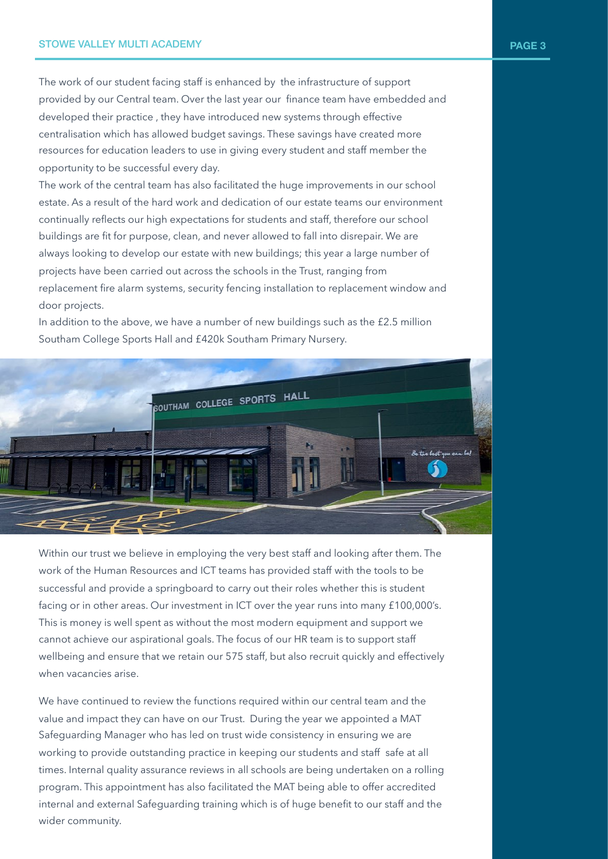The work of our student facing staff is enhanced by the infrastructure of support provided by our Central team. Over the last year our finance team have embedded and developed their practice , they have introduced new systems through effective centralisation which has allowed budget savings. These savings have created more resources for education leaders to use in giving every student and staff member the opportunity to be successful every day.

The work of the central team has also facilitated the huge improvements in our school estate. As a result of the hard work and dedication of our estate teams our environment continually reflects our high expectations for students and staff, therefore our school buildings are fit for purpose, clean, and never allowed to fall into disrepair. We are always looking to develop our estate with new buildings; this year a large number of projects have been carried out across the schools in the Trust, ranging from replacement fire alarm systems, security fencing installation to replacement window and door projects.

In addition to the above, we have a number of new buildings such as the £2.5 million Southam College Sports Hall and £420k Southam Primary Nursery.



Within our trust we believe in employing the very best staff and looking after them. The work of the Human Resources and ICT teams has provided staff with the tools to be successful and provide a springboard to carry out their roles whether this is student facing or in other areas. Our investment in ICT over the year runs into many £100,000's. This is money is well spent as without the most modern equipment and support we cannot achieve our aspirational goals. The focus of our HR team is to support staff wellbeing and ensure that we retain our 575 staff, but also recruit quickly and effectively when vacancies arise.

We have continued to review the functions required within our central team and the value and impact they can have on our Trust. During the year we appointed a MAT Safeguarding Manager who has led on trust wide consistency in ensuring we are working to provide outstanding practice in keeping our students and staff safe at all times. Internal quality assurance reviews in all schools are being undertaken on a rolling program. This appointment has also facilitated the MAT being able to offer accredited internal and external Safeguarding training which is of huge benefit to our staff and the wider community.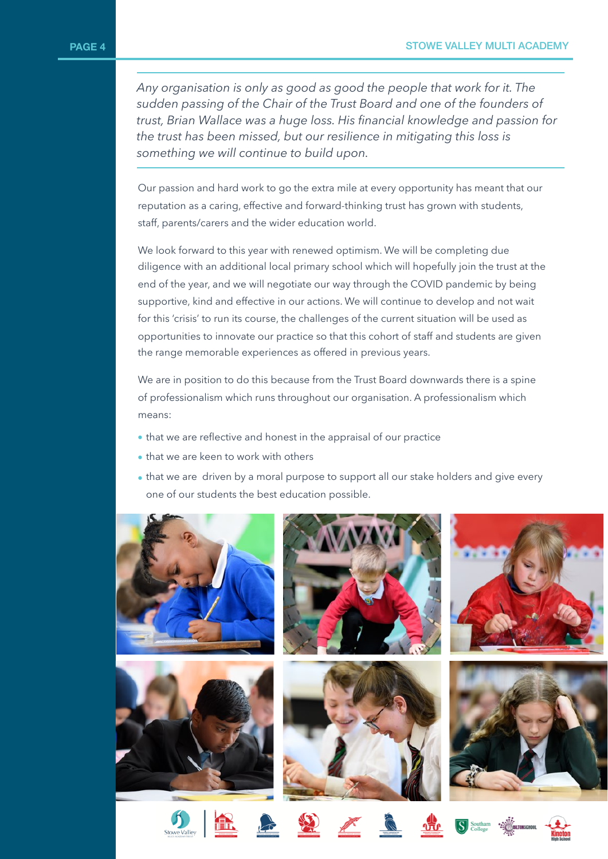*Any organisation is only as good as good the people that work for it. The sudden passing of the Chair of the Trust Board and one of the founders of trust, Brian Wallace was a huge loss. His financial knowledge and passion for the trust has been missed, but our resilience in mitigating this loss is something we will continue to build upon.*

Our passion and hard work to go the extra mile at every opportunity has meant that our reputation as a caring, effective and forward-thinking trust has grown with students, staff, parents/carers and the wider education world.

We look forward to this year with renewed optimism. We will be completing due diligence with an additional local primary school which will hopefully join the trust at the end of the year, and we will negotiate our way through the COVID pandemic by being supportive, kind and effective in our actions. We will continue to develop and not wait for this 'crisis' to run its course, the challenges of the current situation will be used as opportunities to innovate our practice so that this cohort of staff and students are given the range memorable experiences as offered in previous years.

We are in position to do this because from the Trust Board downwards there is a spine of professionalism which runs throughout our organisation. A professionalism which means:

- that we are reflective and honest in the appraisal of our practice
- that we are keen to work with others
- that we are driven by a moral purpose to support all our stake holders and give every one of our students the best education possible.